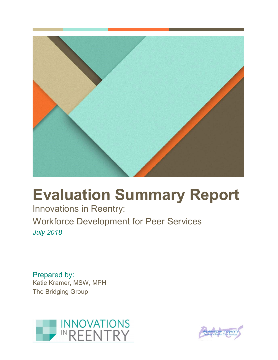

# **Evaluation Summary Report**

Innovations in Reentry: Workforce Development for Peer Services *July 2018*

Prepared by: Katie Kramer, MSW, MPH The Bridging Group



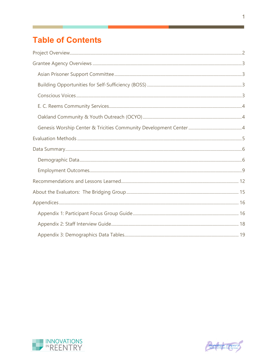# **Table of Contents**





and in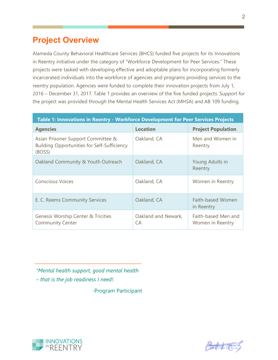## <span id="page-2-0"></span>**Project Overview**

Alameda County Behavioral Healthcare Services (BHCS) funded five projects for its Innovations in Reentry initiative under the category of "Workforce Development for Peer Services." These projects were tasked with developing effective and adoptable plans for incorporating formerly incarcerated individuals into the workforce of agencies and programs providing services to the reentry population. Agencies were funded to complete their innovation projects from July 1, 2016 – December 31, 2017. Table 1 provides an overview of the five funded projects. Support for the project was provided through the Mental Health Services Act (MHSA) and AB 109 funding.

| Table 1: Innovations in Reentry - Workforce Development for Peer Services Projects                 |                           |                                         |  |
|----------------------------------------------------------------------------------------------------|---------------------------|-----------------------------------------|--|
| <b>Agencies</b>                                                                                    | <b>Location</b>           | <b>Project Population</b>               |  |
| Asian Prisoner Support Committee &<br><b>Building Opportunities for Self-Sufficiency</b><br>(BOSS) | Oakland, CA               | Men and Women in<br>Reentry             |  |
| Oakland Community & Youth Outreach                                                                 | Oakland, CA               | Young Adults in<br>Reentry              |  |
| <b>Conscious Voices</b>                                                                            | Oakland, CA               | Women in Reentry                        |  |
| E. C. Reems Community Services                                                                     | Oakland, CA               | <b>Faith-based Women</b><br>in Reentry  |  |
| <b>Genesis Worship Center &amp; Tricities</b><br><b>Community Center</b>                           | Oakland and Newark,<br>СA | Faith-based Men and<br>Women in Reentry |  |

*"Mental health support, good mental health – that is the job readiness I need!.*

-Program Participant



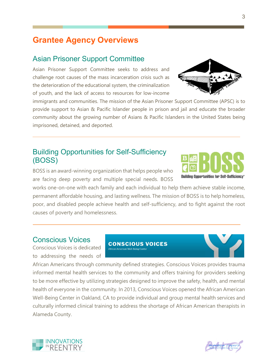## <span id="page-3-0"></span>**Grantee Agency Overviews**

#### <span id="page-3-1"></span>Asian Prisoner Support Committee

Asian Prisoner Support Committee seeks to address and challenge root causes of the mass incarceration crisis such as the deterioration of the educational system, the criminalization of youth, and the lack of access to resources for low-income

immigrants and communities. The mission of the Asian Prisoner Support Committee (APSC) is to provide support to Asian & Pacific Islander people in prison and jail and educate the broader community about the growing number of Asians & Pacific Islanders in the United States being imprisoned, detained, and deported.

#### <span id="page-3-2"></span>Building Opportunities for Self-Sufficiency (BOSS)

BOSS is an award-winning organization that helps people who are facing deep poverty and multiple special needs. BOSS

works one-on-one with each family and each individual to help them achieve stable income, permanent affordable housing, and lasting wellness. The mission of BOSS is to help homeless, poor, and disabled people achieve health and self-sufficiency, and to fight against the root causes of poverty and homelessness.

#### <span id="page-3-3"></span>Conscious Voices

Conscious Voices is dedicated to addressing the needs of **CONSCIOUS VOICES African American Well-Being Cente** 

African Americans through community defined strategies. Conscious Voices provides trauma informed mental health services to the community and offers training for providers seeking to be more effective by utilizing strategies designed to improve the safety, health, and mental health of everyone in the community. In 2013, Conscious Voices opened the African American Well-Being Center in Oakland, CA to provide individual and group mental health services and culturally informed clinical training to address the shortage of African American therapists in Alameda County.









3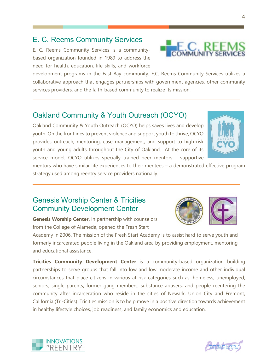## <span id="page-4-0"></span>E. C. Reems Community Services

E. C. Reems Community Services is a communitybased organization founded in 1989 to address the need for health, education, life skills, and workforce



#### <span id="page-4-1"></span>Oakland Community & Youth Outreach (OCYO)

Oakland Community & Youth Outreach (OCYO) helps saves lives and develop youth. On the frontlines to prevent violence and support youth to thrive, OCYO provides outreach, mentoring, case management, and support to high-risk youth and young adults throughout the City of Oakland. At the core of its service model, OCYO utilizes specially trained peer mentors – supportive



mentors who have similar life experiences to their mentees – a demonstrated effective program strategy used among reentry service providers nationally.

#### <span id="page-4-2"></span>Genesis Worship Center & Tricities Community Development Center



Academy in 2006. The mission of the Fresh Start Academy is to assist hard to serve youth and formerly incarcerated people living in the Oakland area by providing employment, mentoring and educational assistance.

**Tricities Community Development Center** is a community-based organization building partnerships to serve groups that fall into low and low moderate income and other individual circumstances that place citizens in various at-risk categories such as: homeless, unemployed, seniors, single parents, former gang members, substance abusers, and people reentering the community after incarceration who reside in the cities of Newark, Union City and Fremont, California (Tri-Cities). Tricities mission is to help move in a positive direction towards achievement in healthy lifestyle choices, job readiness, and family economics and education.





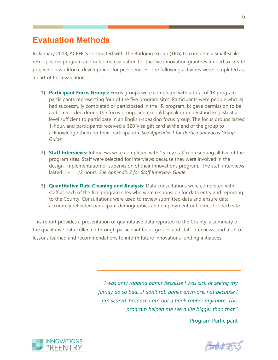## <span id="page-5-0"></span>**Evaluation Methods**

In January 2018, ACBHCS contracted with The Bridging Group (TBG) to complete a small-scale retrospective program and outcome evaluation for the five innovation grantees funded to create projects on workforce development for peer services. The following activities were completed as a part of this evaluation:

- 1) **Participant Focus Groups:** Focus groups were completed with a total of 13 program participants representing four of the five program sites. Participants were people who: a) had successfully completed or participated in the IiR program, b) gave permission to be audio recorded during the focus group, and c) could speak or understand English at a level sufficient to participate in an English-speaking focus group. The focus groups lasted 1-hour, and participants received a \$20 Visa gift card at the end of the group to acknowledge them for their participation. *See Appendix 1 for Participant Focus Group Guide.*
- 2) **Staff Interviews:** Interviews were completed with 15 key staff representing all five of the program sites. Staff were selected for interviews because they were involved in the design, implementation or supervision of their Innovations program. The staff interviews lasted 1 – 1 1/2 hours. *See Appendix 2 for Staff Interview Guide.*
- 3) **Quantitative Data Cleaning and Analysis:** Data consultations were completed with staff at each of the five program sites who were responsible for data entry and reporting to the County. Consultations were used to review submitted data and ensure data accurately reflected participant demographics and employment outcomes for each site.

This report provides a presentation of quantitative data reported to the County, a summary of the qualitative data collected through participant focus groups and staff interviews, and a set of lessons learned and recommendations to inform future innovations funding initiatives.

> *"I was only robbing banks because I was sick of seeing my family do so bad….I don't rob banks anymore, not because I am scared, because I am not a bank robber anymore. This program helped me see a life bigger than that."* - Program Participant



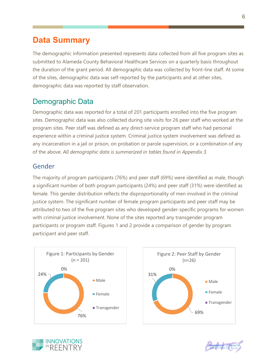## <span id="page-6-0"></span>**Data Summary**

The demographic information presented represents data collected from all five program sites as submitted to Alameda County Behavioral Healthcare Services on a quarterly basis throughout the duration of the grant period. All demographic data was collected by front-line staff. At some of the sites, demographic data was self-reported by the participants and at other sites, demographic data was reported by staff observation.

## <span id="page-6-1"></span>Demographic Data

Demographic data was reported for a total of 201 participants enrolled into the five program sites. Demographic data was also collected during site visits for 26 peer staff who worked at the program sites. Peer staff was defined as any direct-service program staff who had personal experience within a criminal justice system. Criminal justice system involvement was defined as any incarceration in a jail or prison, on probation or parole supervision, or a combination of any of the above. *All demographic data is summarized in tables found in Appendix 3.*

#### Gender

The majority of program participants (76%) and peer staff (69%) were identified as male, though a significant number of both program participants (24%) and peer staff (31%) were identified as female. This gender distribution reflects the disproportionality of men involved in the criminal justice system. The significant number of female program participants and peer staff may be attributed to two of the five program sites who developed gender-specific programs for women with criminal justice involvement. None of the sites reported any transgender program participants or program staff. Figures 1 and 2 provide a comparison of gender by program participant and peer staff.





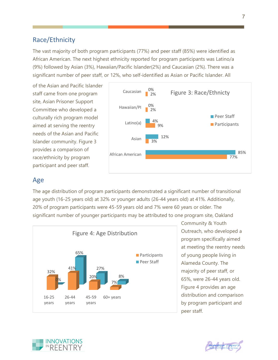#### Race/Ethnicity

The vast majority of both program participants (77%) and peer staff (85%) were identified as African American. The next highest ethnicity reported for program participants was Latino/a (9%) followed by Asian (3%), Hawaiian/Pacific Islander(2%) and Caucasian (2%). There was a significant number of peer staff, or 12%, who self-identified as Asian or Pacific Islander. All

of the Asian and Pacific Islander staff came from one program site, Asian Prisoner Support Committee who developed a culturally rich program model aimed at serving the reentry needs of the Asian and Pacific Islander community. Figure 3 provides a comparison of race/ethnicity by program participant and peer staff.



#### Age

The age distribution of program participants demonstrated a significant number of transitional age youth (16-25 years old) at 32% or younger adults (26-44 years old) at 41%. Additionally, 20% of program participants were 45-59 years old and 7% were 60 years or older. The significant number of younger participants may be attributed to one program site, Oakland



Community & Youth Outreach, who developed a program specifically aimed at meeting the reentry needs of young people living in Alameda County. The majority of peer staff, or 65%, were 26-44 years old. Figure 4 provides an age distribution and comparison by program participant and peer staff.



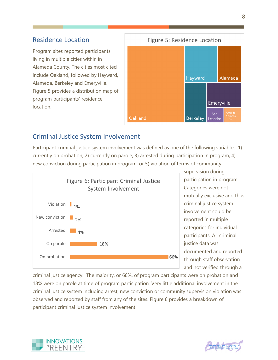#### Residence Location

Program sites reported participants living in multiple cities within in Alameda County. The cities most cited include Oakland, followed by Hayward, Alameda, Berkeley and Emeryville. Figure 5 provides a distribution map of program participants' residence location.



#### Criminal Justice System Involvement

Participant criminal justice system involvement was defined as one of the following variables: 1) currently on probation, 2) currently on parole, 3) arrested during participation in program, 4) new conviction during participation in program, or 5) violation of terms of community



supervision during participation in program. Categories were not mutually exclusive and thus criminal justice system involvement could be reported in multiple categories for individual participants. All criminal justice data was documented and reported through staff observation and not verified through a

criminal justice agency. The majority, or 66%, of program participants were on probation and 18% were on parole at time of program participation. Very little additional involvement in the criminal justice system including arrest, new conviction or community supervision violation was observed and reported by staff from any of the sites. Figure 6 provides a breakdown of participant criminal justice system involvement.



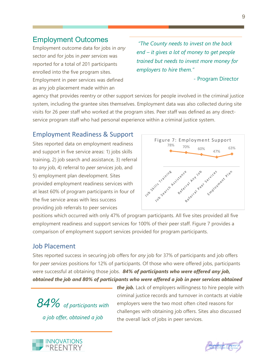### <span id="page-9-0"></span>Employment Outcomes

Employment outcome data for jobs in *any* sector and for jobs in *peer services* was reported for a total of 201 participants enrolled into the five program sites. Employment in peer services was defined as any job placement made within an

*"The County needs to invest on the back end – it gives a lot of money to get people trained but needs to invest more money for employers to hire them."*

- Program Director

agency that provides reentry or other support services for people involved in the criminal justice system, including the grantee sites themselves. Employment data was also collected during site visits for 26 peer staff who worked at the program sites. Peer staff was defined as any directservice program staff who had personal experience within a criminal justice system.

#### Employment Readiness & Support

Sites reported data on employment readiness and support in five service areas: 1) jobs skills training, 2) job search and assistance, 3) referral to *any* job, 4) referral to *peer services* job, and 5) employment plan development. Sites provided employment readiness services with at least 60% of program participants in four of the five service areas with less success providing job referrals to peer services



positions which occurred with only 47% of program participants. All five sites provided all five employment readiness and support services for 100% of their peer staff. Figure 7 provides a comparison of employment support services provided for program participants.

#### Job Placement

Sites reported success in securing job offers for *any* job for 37% of participants and job offers for *peer services* positions for 12% of participants. Of those who were offered jobs, participants were successful at obtaining those jobs. *84% of participants who were offered any job, obtained the job and 80% of participants who were offered a job in peer services obtained* 

*84% of participants with a job offer, obtained a job*

*the job.* Lack of employers willingness to hire people with criminal justice records and turnover in contacts at viable employers were the two most often cited reasons for challenges with obtaining job offers. Sites also discussed the overall lack of jobs in peer services.



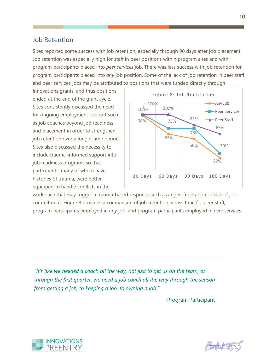#### Job Retention

Sites reported some success with job retention, especially through 90 days after job placement. Job retention was especially high for staff in peer positions within program sites and with program participants placed into *peer services* job. There was less success with job retention for program participants placed into *any* job position. Some of the lack of job retention in peer staff and peer services jobs may be attributed to positions that were funded directly through

Innovations grants, and thus positions ended at the end of the grant cycle. Sites consistently discussed the need for ongoing employment support such as job coaches beyond job readiness and placement in order to strengthen job retention over a longer time period. Sites also discussed the necessity to include trauma-informed support into job readiness programs so that participants, many of whom have histories of trauma, were better equipped to handle conflicts in the



workplace that may trigger a trauma-based response such as anger, frustration or lack of job commitment. Figure 8 provides a comparison of job retention across time for peer staff, program participants employed in *any* job, and program participants employed in *peer services*.

*"It's like we needed a coach all the way, not just to get us on the team, or through the first quarter, we need a job coach all the way through the season from getting a job, to keeping a job, to owning a job."* 

-Program Participant



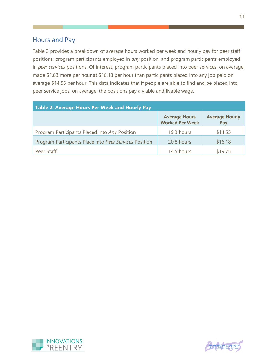#### Hours and Pay

Table 2 provides a breakdown of average hours worked per week and hourly pay for peer staff positions, program participants employed in *any* position, and program participants employed in *peer services* positions. Of interest, program participants placed into peer services, on average, made \$1.63 more per hour at \$16.18 per hour than participants placed into any job paid on average \$14.55 per hour. This data indicates that if people are able to find and be placed into peer service jobs, on average, the positions pay a viable and livable wage.

| Table 2: Average Hours Per Week and Hourly Pay         |                                                |                              |  |  |
|--------------------------------------------------------|------------------------------------------------|------------------------------|--|--|
|                                                        | <b>Average Hours</b><br><b>Worked Per Week</b> | <b>Average Hourly</b><br>Pay |  |  |
| Program Participants Placed into Any Position          | 19.3 hours                                     | \$14.55                      |  |  |
| Program Participants Place into Peer Services Position | 20.8 hours                                     | \$16.18                      |  |  |
| Peer Staff                                             | 14.5 hours                                     | \$19.75                      |  |  |



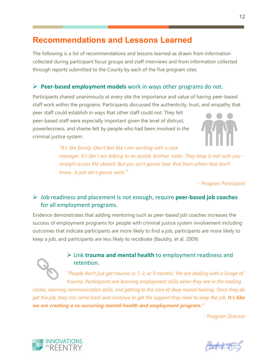## <span id="page-12-0"></span>**Recommendations and Lessons Learned**

The following is a list of recommendations and lessons learned as drawn from information collected during participant focus groups and staff interviews and from information collected through reports submitted to the County by each of the five program sites.

#### **Peer-based employment models** work in ways other programs do not.

Participants shared unanimously at every site the importance and value of having peer-based staff work within the programs. Participants discussed the authenticity, trust, and empathy that

peer staff could establish in ways that other staff could not. They felt peer-based staff were especially important given the level of distrust, powerlessness, and shame felt by people who had been involved in the criminal justice system.



*"It's like family. Don't feel like I am working with a case manager. It's like I am talking to an auntie, brother, sister. They keep it real with you – straight across the aboard. But you ain't gonna hear that from others that don't know…it just ain't gonna work."*

- Program Participant

#### Job readiness and placement is not enough, require **peer-based job coaches**  for all employment programs.

Evidence demonstrates that adding mentoring such as peer-based job coaches increases the success of employment programs for people with criminal justice system involvement including outcomes that indicate participants are more likely to find a job, participants are more likely to keep a job, and participants are less likely to recidivate (Bauldry, et al. 2009)



#### Link **trauma and mental health** to employment readiness and retention.

*"People don't just get trauma in 1, 2, or 9 months. We are dealing with a linage of trauma. Participants are learning employment skills when they are in the healing* 

*circles, learning communication skills, and getting to the core of deep rooted healing. Once they do get the job, they can come back and continue to get the support they need to keep the job. It's like we are creating a co-occurring mental health and employment program."*

- Program Director



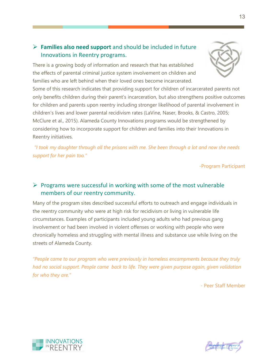#### **Families also need support** and should be included in future Innovations in Reentry programs.

There is a growing body of information and research that has established the effects of parental criminal justice system involvement on children and families who are left behind when their loved ones become incarcerated.

Some of this research indicates that providing support for children of incarcerated parents not only benefits children during their parent's incarceration, but also strengthens positive outcomes for children and parents upon reentry including stronger likelihood of parental involvement in children's lives and lower parental recidivism rates (LaVine, Naser, Brooks, & Castro, 2005; McClure et al., 2015). Alameda County Innovations programs would be strengthened by considering how to incorporate support for children and families into their Innovations in Reentry initiatives.

*"I took my daughter through all the prisons with me. She been through a lot and now she needs support for her pain too."*

-Program Participant

#### $\triangleright$  Programs were successful in working with some of the most vulnerable members of our reentry community.

Many of the program sites described successful efforts to outreach and engage individuals in the reentry community who were at high risk for recidivism or living in vulnerable life circumstances. Examples of participants included young adults who had previous gang involvement or had been involved in violent offenses or working with people who were chronically homeless and struggling with mental illness and substance use while living on the streets of Alameda County.

*"People came to our program who were previously in homeless encampments because they truly had no social support. People came back to life. They were given purpose again, given validation for who they are."*

- Peer Staff Member



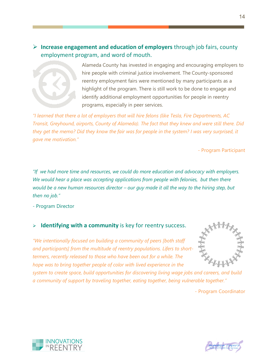#### **Increase engagement and education of employers** through job fairs, county employment program, and word of mouth.



Alameda County has invested in engaging and encouraging employers to hire people with criminal justice involvement. The County-sponsored reentry employment fairs were mentioned by many participants as a highlight of the program. There is still work to be done to engage and identify additional employment opportunities for people in reentry programs, especially in peer services.

*"I learned that there a lot of employers that will hire felons (like Tesla, Fire Departments, AC Transit, Greyhound, airports, County of Alameda). The fact that they knew and were still there. Did they get the memo? Did they know the fair was for people in the system? I was very surprised, it gave me motivation."*

- Program Participant

*"If we had more time and resources, we could do more education and advocacy with employers. We would hear a place was accepting applications from people with felonies, but then there would be a new human resources director – our guy made it all the way to the hiring step, but then no job."*

- Program Director

#### **Identifying with a community** is key for reentry success.

*"We intentionally focused on building a community of peers [both staff and participants] from the multitude of reentry populations. Lifers to shorttermers, recently released to those who have been out for a while. The hope was to bring together people of color with lived experience in the* 



*system to create space, build opportunities for discovering living wage jobs and careers, and build a community of support by traveling together, eating together, being vulnerable together."*

- Program Coordinator





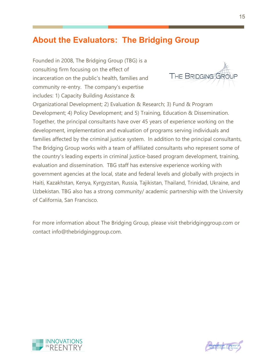## <span id="page-15-0"></span>**About the Evaluators: The Bridging Group**

Founded in 2008, The Bridging Group (TBG) is a consulting firm focusing on the effect of incarceration on the public's health, families and community re-entry. The company's expertise includes: 1) Capacity Building Assistance &



Organizational Development; 2) Evaluation & Research; 3) Fund & Program Development; 4) Policy Development; and 5) Training, Education & Dissemination. Together, the principal consultants have over 45 years of experience working on the development, implementation and evaluation of programs serving individuals and families affected by the criminal justice system. In addition to the principal consultants, The Bridging Group works with a team of affiliated consultants who represent some of the country's leading experts in criminal justice-based program development, training, evaluation and dissemination. TBG staff has extensive experience working with government agencies at the local, state and federal levels and globally with projects in Haiti, Kazakhstan, Kenya, Kyrgyzstan, Russia, Tajikistan, Thailand, Trinidad, Ukraine, and Uzbekistan. TBG also has a strong community/ academic partnership with the University of California, San Francisco.

For more information about The Bridging Group, please visit thebridginggroup.com or contact info@thebridginggroup.com.



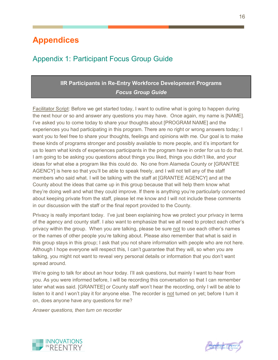## <span id="page-16-0"></span>**Appendices**

## <span id="page-16-1"></span>Appendix 1: Participant Focus Group Guide

#### **IIR Participants in Re-Entry Workforce Development Programs** *Focus Group Guide*

Facilitator Script: Before we get started today, I want to outline what is going to happen during the next hour or so and answer any questions you may have. Once again, my name is [NAME]. I've asked you to come today to share your thoughts about [PROGRAM NAME] and the experiences you had participating in this program. There are no right or wrong answers today; I want you to feel free to share your thoughts, feelings and opinions with me. Our goal is to make these kinds of programs stronger and possibly available to more people, and it's important for us to learn what kinds of experiences participants in the program have in order for us to do that. I am going to be asking you questions about things you liked, things you didn't like, and your ideas for what else a program like this could do. No one from Alameda County or [GRANTEE AGENCY] is here so that you'll be able to speak freely, and I will not tell any of the staff members who said what. I will be talking with the staff at [GRANTEE AGENCY] and at the County about the ideas that came up in this group because that will help them know what they're doing well and what they could improve. If there is anything you're particularly concerned about keeping private from the staff, please let me know and I will not include these comments in our discussion with the staff or the final report provided to the County.

Privacy is really important today. I've just been explaining how we protect your privacy in terms of the agency and county staff. I also want to emphasize that we all need to protect each other's privacy within the group. When you are talking, please be sure not to use each other's names or the names of other people you're talking about. Please also remember that what is said in this group stays in this group; I ask that you not share information with people who are not here. Although I hope everyone will respect this, I can't guarantee that they will, so when you are talking, you might not want to reveal very personal details or information that you don't want spread around.

We're going to talk for about an hour today. I'll ask questions, but mainly I want to hear from you. As you were informed before, I will be recording this conversation so that I can remember later what was said. [GRANTEE] or County staff won't hear the recording, only I will be able to listen to it and I won't play it for anyone else. The recorder is not turned on yet; before I turn it on, does anyone have any questions for me?

*Answer questions, then turn on recorder*



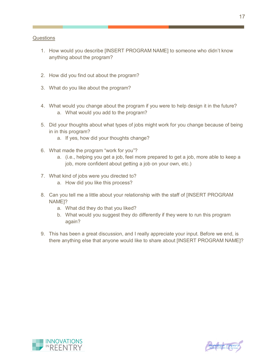#### **Questions**

- 1. How would you describe [INSERT PROGRAM NAME] to someone who didn't know anything about the program?
- 2. How did you find out about the program?
- 3. What do you like about the program?
- 4. What would you change about the program if you were to help design it in the future? a. What would you add to the program?
- 5. Did your thoughts about what types of jobs might work for you change because of being in in this program?
	- a. If yes, how did your thoughts change?
- 6. What made the program "work for you"?
	- a. (i.e., helping you get a job, feel more prepared to get a job, more able to keep a job, more confident about getting a job on your own, etc.)
- 7. What kind of jobs were you directed to?
	- a. How did you like this process?
- 8. Can you tell me a little about your relationship with the staff of [INSERT PROGRAM NAME]?
	- a. What did they do that you liked?
	- b. What would you suggest they do differently if they were to run this program again?
- 9. This has been a great discussion, and I really appreciate your input. Before we end, is there anything else that anyone would like to share about [INSERT PROGRAM NAME]?



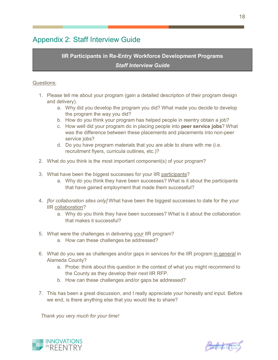## <span id="page-18-0"></span>Appendix 2: Staff Interview Guide

#### **IIR Participants in Re-Entry Workforce Development Programs** *Staff Interview Guide*

#### Questions:

- 1. Please tell me about your program (gain a detailed description of their program design and delivery).
	- a. Why did you develop the program you did? What made you decide to develop the program the way you did?
	- b. How do you think your program has helped people in reentry obtain a job?
	- c. How well did your program do in placing people into **peer service jobs**? What was the difference between these placements and placements into non-peer service jobs?
	- d. Do you have program materials that you are able to share with me (i.e. recruitment flyers, curricula outlines, etc.)?
- 2. What do you think is the most important component(s) of your program?
- 3. What have been the biggest successes for your IIR participants?
	- a. Why do you think they have been successes? What is it about the participants that have gained employment that made them successful?
- 4. *[for collaboration sites only]* What have been the biggest successes to date for the your IIR collaboration?
	- a. Why do you think they have been successes? What is it about the collaboration that makes it successful?
- 5. What were the challenges in delivering your IIR program?
	- a. How can these challenges be addressed?
- 6. What do you see as challenges and/or gaps in services for the IIR program in general in Alameda County?
	- a. Probe: think about this question in the context of what you might recommend to the County as they develop their next IIR RFP.
	- b. How can these challenges and/or gaps be addressed?
- 7. This has been a great discussion, and I really appreciate your honestly and input. Before we end, is there anything else that you would like to share?

*Thank you very much for your time!*



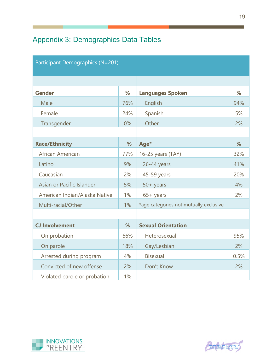## <span id="page-19-0"></span>Appendix 3: Demographics Data Tables

| Participant Demographics (N=201) |       |                                        |      |  |
|----------------------------------|-------|----------------------------------------|------|--|
|                                  |       |                                        |      |  |
| <b>Gender</b>                    | %     | <b>Languages Spoken</b>                | %    |  |
| Male                             | 76%   | English                                | 94%  |  |
| Female                           | 24%   | Spanish                                | 5%   |  |
| Transgender                      | 0%    | Other                                  | 2%   |  |
|                                  |       |                                        |      |  |
| <b>Race/Ethnicity</b>            | %     | Age*                                   | %    |  |
| African American                 | 77%   | 16-25 years (TAY)                      | 32%  |  |
| Latino                           | 9%    | 26-44 years                            | 41%  |  |
| Caucasian                        | 2%    | 45-59 years                            | 20%  |  |
| Asian or Pacific Islander        | 5%    | $50 + \text{years}$                    | 4%   |  |
| American Indian/Alaska Native    | $1\%$ | $65 + \text{years}$                    | 2%   |  |
| Multi-racial/Other               | 1%    | *age categories not mutually exclusive |      |  |
|                                  |       |                                        |      |  |
| <b>CJ Involvement</b>            | %     | <b>Sexual Orientation</b>              |      |  |
| On probation                     | 66%   | Heterosexual                           | 95%  |  |
| On parole                        | 18%   | Gay/Lesbian                            | 2%   |  |
| Arrested during program          | 4%    | <b>Bisexual</b>                        | 0.5% |  |
| Convicted of new offense         | 2%    | Don't Know                             | 2%   |  |
| Violated parole or probation     | 1%    |                                        |      |  |